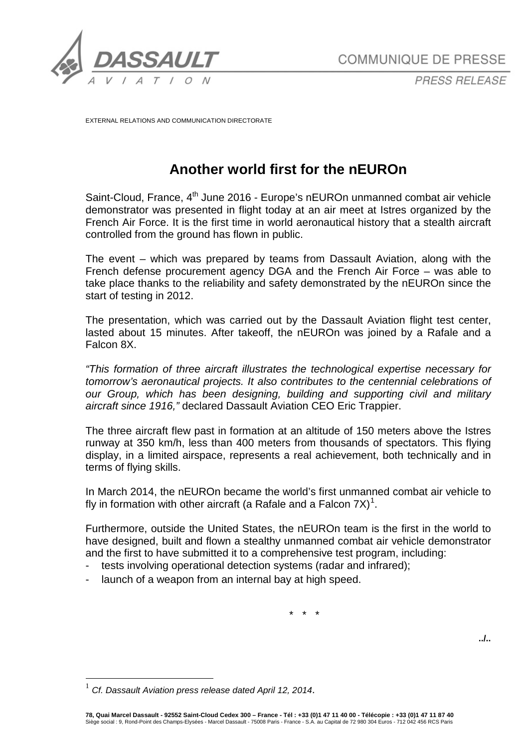

*PRESS RELEASE*

EXTERNAL RELATIONS AND COMMUNICATION DIRECTORATE

# **Another world first for the nEUROn**

Saint-Cloud, France,  $4<sup>th</sup>$  June 2016 - Europe's nEUROn unmanned combat air vehicle demonstrator was presented in flight today at an air meet at Istres organized by the French Air Force. It is the first time in world aeronautical history that a stealth aircraft controlled from the ground has flown in public.

The event – which was prepared by teams from Dassault Aviation, along with the French defense procurement agency DGA and the French Air Force – was able to take place thanks to the reliability and safety demonstrated by the nEUROn since the start of testing in 2012.

The presentation, which was carried out by the Dassault Aviation flight test center, lasted about 15 minutes. After takeoff, the nEUROn was joined by a Rafale and a Falcon 8X.

*"This formation of three aircraft illustrates the technological expertise necessary for tomorrow's aeronautical projects. It also contributes to the centennial celebrations of our Group, which has been designing, building and supporting civil and military aircraft since 1916,"* declared Dassault Aviation CEO Eric Trappier.

The three aircraft flew past in formation at an altitude of 150 meters above the Istres runway at 350 km/h, less than 400 meters from thousands of spectators. This flying display, in a limited airspace, represents a real achievement, both technically and in terms of flying skills.

In March 2014, the nEUROn became the world's first unmanned combat air vehicle to fly in formation with other aircraft (a Rafale and a Falcon 7X)<sup>[1](#page-0-0)</sup>.

Furthermore, outside the United States, the nEUROn team is the first in the world to have designed, built and flown a stealthy unmanned combat air vehicle demonstrator and the first to have submitted it to a comprehensive test program, including:

- tests involving operational detection systems (radar and infrared);
- launch of a weapon from an internal bay at high speed.

\* \* \*

**../..**

<span id="page-0-0"></span> <sup>1</sup> *Cf. Dassault Aviation press release dated April 12, 2014*.